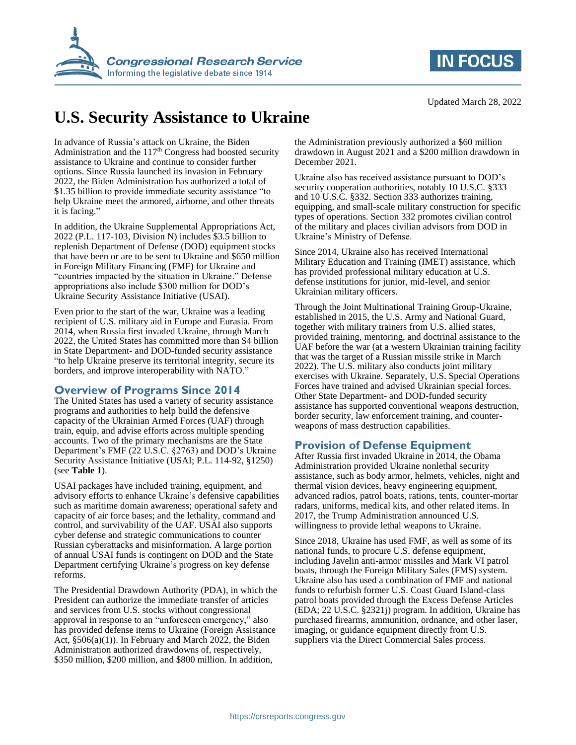



# **U.S. Security Assistance to Ukraine**

In advance of Russia's attack on Ukraine, the Biden Administration and the  $117<sup>th</sup>$  Congress had boosted security assistance to Ukraine and continue to consider further options. Since Russia launched its invasion in February 2022, the Biden Administration has authorized a total of \$1.35 billion to provide immediate security assistance "to help Ukraine meet the armored, airborne, and other threats it is facing."

In addition, the Ukraine Supplemental Appropriations Act, 2022 (P.L. 117-103, Division N) includes \$3.5 billion to replenish Department of Defense (DOD) equipment stocks that have been or are to be sent to Ukraine and \$650 million in Foreign Military Financing (FMF) for Ukraine and "countries impacted by the situation in Ukraine." Defense appropriations also include \$300 million for DOD's Ukraine Security Assistance Initiative (USAI).

Even prior to the start of the war, Ukraine was a leading recipient of U.S. military aid in Europe and Eurasia. From 2014, when Russia first invaded Ukraine, through March 2022, the United States has committed more than \$4 billion in State Department- and DOD-funded security assistance "to help Ukraine preserve its territorial integrity, secure its borders, and improve interoperability with NATO."

## **Overview of Programs Since 2014**

The United States has used a variety of security assistance programs and authorities to help build the defensive capacity of the Ukrainian Armed Forces (UAF) through train, equip, and advise efforts across multiple spending accounts. Two of the primary mechanisms are the State Department's FMF (22 U.S.C. §2763) and DOD's Ukraine Security Assistance Initiative (USAI; P.L. 114-92, §1250) (see **[Table 1](#page-1-0)**).

USAI packages have included training, equipment, and advisory efforts to enhance Ukraine's defensive capabilities such as maritime domain awareness; operational safety and capacity of air force bases; and the lethality, command and control, and survivability of the UAF. USAI also supports cyber defense and strategic communications to counter Russian cyberattacks and misinformation. A large portion of annual USAI funds is contingent on DOD and the State Department certifying Ukraine's progress on key defense reforms.

The Presidential Drawdown Authority (PDA), in which the President can authorize the immediate transfer of articles and services from U.S. stocks without congressional approval in response to an "unforeseen emergency," also has provided defense items to Ukraine (Foreign Assistance Act, §506(a)(1)). In February and March 2022, the Biden Administration authorized drawdowns of, respectively, \$350 million, \$200 million, and \$800 million. In addition,

the Administration previously authorized a \$60 million drawdown in August 2021 and a \$200 million drawdown in December 2021.

Ukraine also has received assistance pursuant to DOD's security cooperation authorities, notably 10 U.S.C. §333 and 10 U.S.C. §332. Section 333 authorizes training, equipping, and small-scale military construction for specific types of operations. Section 332 promotes civilian control of the military and places civilian advisors from DOD in Ukraine's Ministry of Defense.

Since 2014, Ukraine also has received International Military Education and Training (IMET) assistance, which has provided professional military education at U.S. defense institutions for junior, mid-level, and senior Ukrainian military officers.

Through the Joint Multinational Training Group-Ukraine, established in 2015, the U.S. Army and National Guard, together with military trainers from U.S. allied states, provided training, mentoring, and doctrinal assistance to the UAF before the war (at a western Ukrainian training facility that was the target of a Russian missile strike in March 2022). The U.S. military also conducts joint military exercises with Ukraine. Separately, U.S. Special Operations Forces have trained and advised Ukrainian special forces. Other State Department- and DOD-funded security assistance has supported conventional weapons destruction, border security, law enforcement training, and counterweapons of mass destruction capabilities.

# **Provision of Defense Equipment**

After Russia first invaded Ukraine in 2014, the Obama Administration provided Ukraine nonlethal security assistance, such as body armor, helmets, vehicles, night and thermal vision devices, heavy engineering equipment, advanced radios, patrol boats, rations, tents, counter-mortar radars, uniforms, medical kits, and other related items. In 2017, the Trump Administration announced U.S. willingness to provide lethal weapons to Ukraine.

Since 2018, Ukraine has used FMF, as well as some of its national funds, to procure U.S. defense equipment, including Javelin anti-armor missiles and Mark VI patrol boats, through the Foreign Military Sales (FMS) system. Ukraine also has used a combination of FMF and national funds to refurbish former U.S. Coast Guard Island-class patrol boats provided through the Excess Defense Articles (EDA; 22 U.S.C. §2321j) program. In addition, Ukraine has purchased firearms, ammunition, ordnance, and other laser, imaging, or guidance equipment directly from U.S. suppliers via the Direct Commercial Sales process.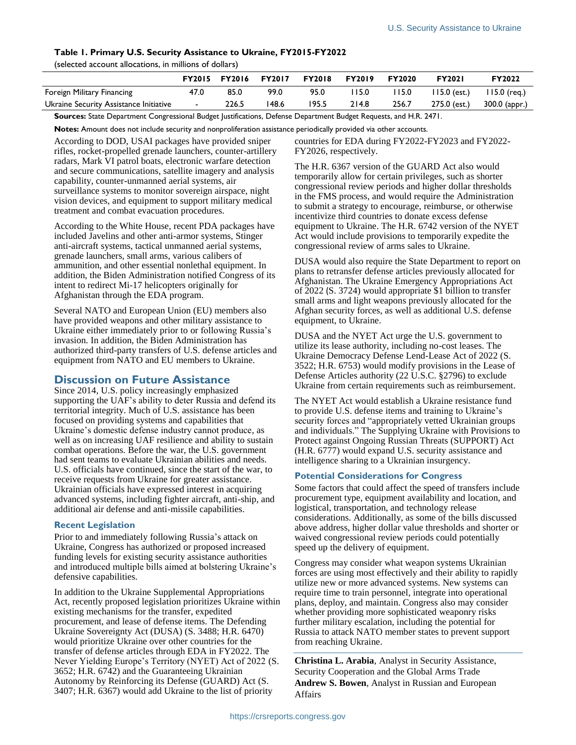### <span id="page-1-0"></span>**Table 1. Primary U.S. Security Assistance to Ukraine, FY2015-FY2022**

(selected account allocations, in millions of dollars)

|                                        | <b>FY2015</b> | <b>FY2016</b> | <b>FY2017</b> | <b>FY2018</b> | <b>FY2019</b> | <b>FY2020</b> | <b>FY2021</b>  | FY2022         |
|----------------------------------------|---------------|---------------|---------------|---------------|---------------|---------------|----------------|----------------|
| Foreign Military Financing             | 47.0          | 85.0          | 99.0          | 95.0          | 15.0          | 15.0          | $115.0$ (est.) | $115.0$ (reg.) |
| Ukraine Security Assistance Initiative | $\sim$        | 226.5         | 148.6         | 195.5         | 214.8         | 256.7         | 275.0 (est.)   | 300.0 (appr.)  |

**Sources:** State Department Congressional Budget Justifications, Defense Department Budget Requests, and H.R. 2471.

**Notes:** Amount does not include security and nonproliferation assistance periodically provided via other accounts.

According to DOD, USAI packages have provided sniper rifles, rocket-propelled grenade launchers, counter-artillery radars, Mark VI patrol boats, electronic warfare detection and secure communications, satellite imagery and analysis capability, counter-unmanned aerial systems, air surveillance systems to monitor sovereign airspace, night vision devices, and equipment to support military medical treatment and combat evacuation procedures.

According to the White House, recent PDA packages have included Javelins and other anti-armor systems, Stinger anti-aircraft systems, tactical unmanned aerial systems, grenade launchers, small arms, various calibers of ammunition, and other essential nonlethal equipment. In addition, the Biden Administration notified Congress of its intent to redirect Mi-17 helicopters originally for Afghanistan through the EDA program.

Several NATO and European Union (EU) members also have provided weapons and other military assistance to Ukraine either immediately prior to or following Russia's invasion. In addition, the Biden Administration has authorized third-party transfers of U.S. defense articles and equipment from NATO and EU members to Ukraine.

## **Discussion on Future Assistance**

Since 2014, U.S. policy increasingly emphasized supporting the UAF's ability to deter Russia and defend its territorial integrity. Much of U.S. assistance has been focused on providing systems and capabilities that Ukraine's domestic defense industry cannot produce, as well as on increasing UAF resilience and ability to sustain combat operations. Before the war, the U.S. government had sent teams to evaluate Ukrainian abilities and needs. U.S. officials have continued, since the start of the war, to receive requests from Ukraine for greater assistance. Ukrainian officials have expressed interest in acquiring advanced systems, including fighter aircraft, anti-ship, and additional air defense and anti-missile capabilities.

#### **Recent Legislation**

Prior to and immediately following Russia's attack on Ukraine, Congress has authorized or proposed increased funding levels for existing security assistance authorities and introduced multiple bills aimed at bolstering Ukraine's defensive capabilities.

In addition to the Ukraine Supplemental Appropriations Act, recently proposed legislation prioritizes Ukraine within existing mechanisms for the transfer, expedited procurement, and lease of defense items. The Defending Ukraine Sovereignty Act (DUSA) (S. 3488; H.R. 6470) would prioritize Ukraine over other countries for the transfer of defense articles through EDA in FY2022. The Never Yielding Europe's Territory (NYET) Act of 2022 (S. 3652; H.R. 6742) and the Guaranteeing Ukrainian Autonomy by Reinforcing its Defense (GUARD) Act (S. 3407; H.R. 6367) would add Ukraine to the list of priority

countries for EDA during FY2022-FY2023 and FY2022- FY2026, respectively.

The H.R. 6367 version of the GUARD Act also would temporarily allow for certain privileges, such as shorter congressional review periods and higher dollar thresholds in the FMS process, and would require the Administration to submit a strategy to encourage, reimburse, or otherwise incentivize third countries to donate excess defense equipment to Ukraine. The H.R. 6742 version of the NYET Act would include provisions to temporarily expedite the congressional review of arms sales to Ukraine.

DUSA would also require the State Department to report on plans to retransfer defense articles previously allocated for Afghanistan. The Ukraine Emergency Appropriations Act of 2022 (S. 3724) would appropriate \$1 billion to transfer small arms and light weapons previously allocated for the Afghan security forces, as well as additional U.S. defense equipment, to Ukraine.

DUSA and the NYET Act urge the U.S. government to utilize its lease authority, including no-cost leases. The Ukraine Democracy Defense Lend-Lease Act of 2022 (S. 3522; H.R. 6753) would modify provisions in the Lease of Defense Articles authority (22 U.S.C. §2796) to exclude Ukraine from certain requirements such as reimbursement.

The NYET Act would establish a Ukraine resistance fund to provide U.S. defense items and training to Ukraine's security forces and "appropriately vetted Ukrainian groups and individuals." The Supplying Ukraine with Provisions to Protect against Ongoing Russian Threats (SUPPORT) Act (H.R. 6777) would expand U.S. security assistance and intelligence sharing to a Ukrainian insurgency.

### **Potential Considerations for Congress**

Some factors that could affect the speed of transfers include procurement type, equipment availability and location, and logistical, transportation, and technology release considerations. Additionally, as some of the bills discussed above address, higher dollar value thresholds and shorter or waived congressional review periods could potentially speed up the delivery of equipment.

Congress may consider what weapon systems Ukrainian forces are using most effectively and their ability to rapidly utilize new or more advanced systems. New systems can require time to train personnel, integrate into operational plans, deploy, and maintain. Congress also may consider whether providing more sophisticated weaponry risks further military escalation, including the potential for Russia to attack NATO member states to prevent support from reaching Ukraine.

**Christina L. Arabia**, Analyst in Security Assistance, Security Cooperation and the Global Arms Trade **Andrew S. Bowen**, Analyst in Russian and European Affairs